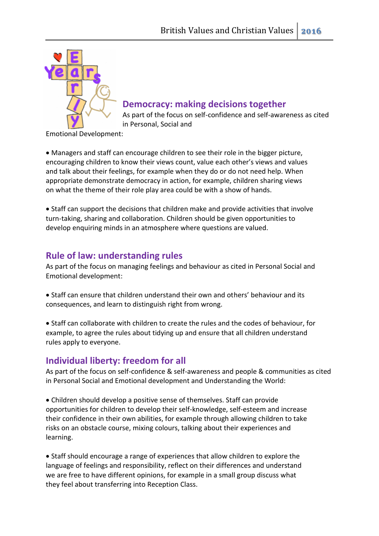

### **Democracy: making decisions together**

As part of the focus on self-confidence and self-awareness as cited in Personal, Social and

Emotional Development:

• Managers and staff can encourage children to see their role in the bigger picture, encouraging children to know their views count, value each other's views and values and talk about their feelings, for example when they do or do not need help. When appropriate demonstrate democracy in action, for example, children sharing views on what the theme of their role play area could be with a show of hands.

• Staff can support the decisions that children make and provide activities that involve turn-taking, sharing and collaboration. Children should be given opportunities to develop enquiring minds in an atmosphere where questions are valued.

## **Rule of law: understanding rules**

As part of the focus on managing feelings and behaviour as cited in Personal Social and Emotional development:

• Staff can ensure that children understand their own and others' behaviour and its consequences, and learn to distinguish right from wrong.

• Staff can collaborate with children to create the rules and the codes of behaviour, for example, to agree the rules about tidying up and ensure that all children understand rules apply to everyone.

# **Individual liberty: freedom for all**

As part of the focus on self-confidence & self-awareness and people & communities as cited in Personal Social and Emotional development and Understanding the World:

• Children should develop a positive sense of themselves. Staff can provide opportunities for children to develop their self-knowledge, self-esteem and increase their confidence in their own abilities, for example through allowing children to take risks on an obstacle course, mixing colours, talking about their experiences and learning.

• Staff should encourage a range of experiences that allow children to explore the language of feelings and responsibility, reflect on their differences and understand we are free to have different opinions, for example in a small group discuss what they feel about transferring into Reception Class.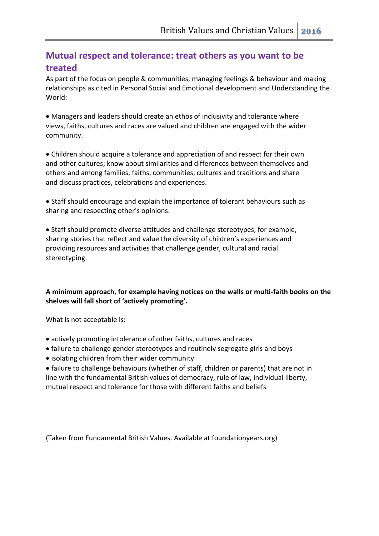## **Mutual respect and tolerance: treat others as you want to be treated**

As part of the focus on people & communities, managing feelings & behaviour and making relationships as cited in Personal Social and Emotional development and Understanding the World:

• Managers and leaders should create an ethos of inclusivity and tolerance where views, faiths, cultures and races are valued and children are engaged with the wider community.

• Children should acquire a tolerance and appreciation of and respect for their own and other cultures; know about similarities and differences between themselves and others and among families, faiths, communities, cultures and traditions and share and discuss practices, celebrations and experiences.

• Staff should encourage and explain the importance of tolerant behaviours such as sharing and respecting other's opinions.

• Staff should promote diverse attitudes and challenge stereotypes, for example, sharing stories that reflect and value the diversity of children's experiences and providing resources and activities that challenge gender, cultural and racial stereotyping.

#### **A minimum approach, for example having notices on the walls or multi-faith books on the shelves will fall short of 'actively promoting'.**

What is not acceptable is:

- actively promoting intolerance of other faiths, cultures and races
- failure to challenge gender stereotypes and routinely segregate girls and boys
- isolating children from their wider community

• failure to challenge behaviours (whether of staff, children or parents) that are not in line with the fundamental British values of democracy, rule of law, individual liberty, mutual respect and tolerance for those with different faiths and beliefs

(Taken from Fundamental British Values. Available at foundationyears.org)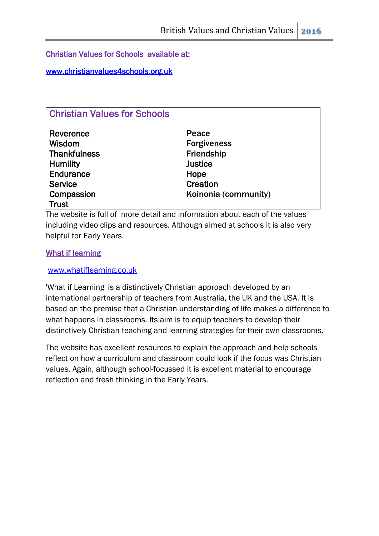Christian Values for Schools available at:

[www.christianvalues4schools.org.uk](http://www.christianvalues4schools.org.uk/) 

| <b>Christian Values for Schools</b> |                      |  |
|-------------------------------------|----------------------|--|
| Reverence                           | Peace                |  |
| <b>Wisdom</b>                       | <b>Forgiveness</b>   |  |
| <b>Thankfulness</b>                 | <b>Friendship</b>    |  |
| <b>Humility</b>                     | <b>Justice</b>       |  |
| Endurance                           | Hope                 |  |
| Service                             | Creation             |  |
| Compassion                          | Koinonia (community) |  |
| <b>Trust</b>                        |                      |  |

The website is full of more detail and information about each of the values including video clips and resources. Although aimed at schools it is also very helpful for Early Years.

### What if learning

#### [www.whatiflearning.co.uk](http://www.whatiflearning.co.uk/)

'What if Learning' is a [distinctively Christian](http://www.whatiflearning.co.uk/big-picture/christian-distinctiveness) approach developed by an international partnership of teachers from Australia, the UK and the USA. It is based on the premise that a Christian understanding of life makes a difference to what happens in classrooms. Its aim is to equip teachers to develop their distinctively Christian teaching and learning strategies for their own classrooms.

The website has excellent resources to explain the approach and help schools reflect on how a curriculum and classroom could look if the focus was Christian values. Again, although school-focussed it is excellent material to encourage reflection and fresh thinking in the Early Years.